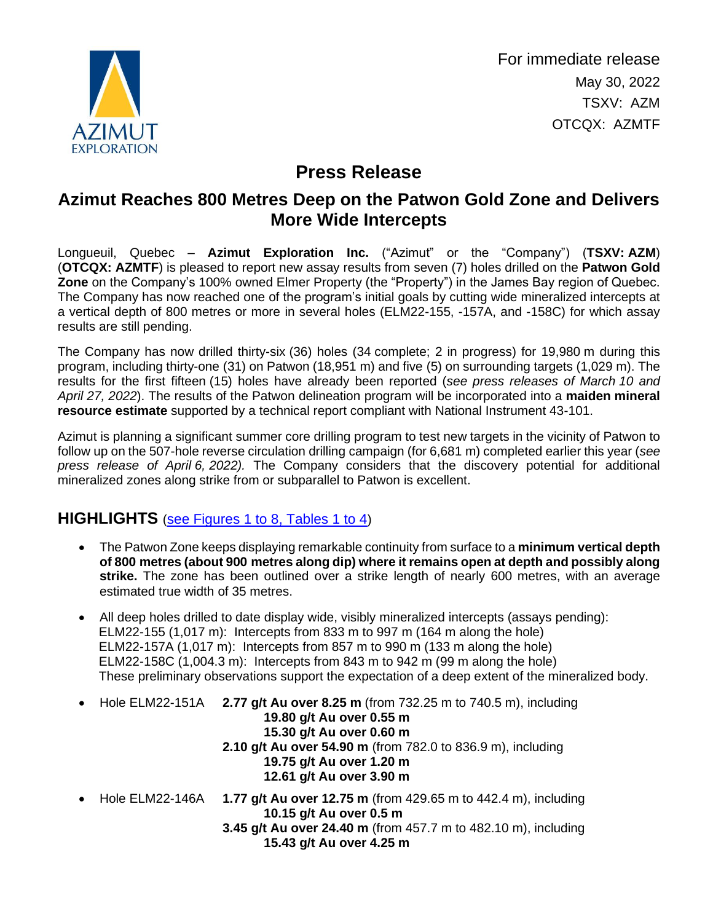

For immediate release May 30, 2022 TSXV: AZM OTCQX: AZMTF

# **Press Release**

## **Azimut Reaches 800 Metres Deep on the Patwon Gold Zone and Delivers More Wide Intercepts**

Longueuil, Quebec – **Azimut Exploration Inc.** ("Azimut" or the "Company") (**TSXV: AZM**) (**OTCQX: AZMTF**) is pleased to report new assay results from seven (7) holes drilled on the **Patwon Gold Zone** on the Company's 100% owned Elmer Property (the "Property") in the James Bay region of Quebec. The Company has now reached one of the program's initial goals by cutting wide mineralized intercepts at a vertical depth of 800 metres or more in several holes (ELM22-155, -157A, and -158C) for which assay results are still pending.

The Company has now drilled thirty-six (36) holes (34 complete; 2 in progress) for 19,980 m during this program, including thirty-one (31) on Patwon (18,951 m) and five (5) on surrounding targets (1,029 m). The results for the first fifteen (15) holes have already been reported (*see press releases of March 10 and April 27, 2022*). The results of the Patwon delineation program will be incorporated into a **maiden mineral resource estimate** supported by a technical report compliant with National Instrument 43-101.

Azimut is planning a significant summer core drilling program to test new targets in the vicinity of Patwon to follow up on the 507-hole reverse circulation drilling campaign (for 6,681 m) completed earlier this year (*see press release of April 6, 2022).* The Company considers that the discovery potential for additional mineralized zones along strike from or subparallel to Patwon is excellent.

### **HIGHLIGHTS** ([see Figures 1 to 8, Tables 1 to 4](https://azimut-exploration.com/wp-content/uploads/2022/05/AZM_PR20220530_Fig1-8_tables1-4-p.pdf))

- The Patwon Zone keeps displaying remarkable continuity from surface to a **minimum vertical depth of 800 metres (about 900 metres along dip) where it remains open at depth and possibly along strike.** The zone has been outlined over a strike length of nearly 600 metres, with an average estimated true width of 35 metres.
- All deep holes drilled to date display wide, visibly mineralized intercepts (assays pending): ELM22-155 (1,017 m): Intercepts from 833 m to 997 m (164 m along the hole) ELM22-157A (1,017 m): Intercepts from 857 m to 990 m (133 m along the hole) ELM22-158C (1,004.3 m): Intercepts from 843 m to 942 m (99 m along the hole) These preliminary observations support the expectation of a deep extent of the mineralized body.
- Hole ELM22-151A **2.77 g/t Au over 8.25 m** (from 732.25 m to 740.5 m), including **19.80 g/t Au over 0.55 m 15.30 g/t Au over 0.60 m 2.10 g/t Au over 54.90 m** (from 782.0 to 836.9 m), including **19.75 g/t Au over 1.20 m 12.61 g/t Au over 3.90 m**
- Hole ELM22-146A **1.77 g/t Au over 12.75 m** (from 429.65 m to 442.4 m), including **10.15 g/t Au over 0.5 m 3.45 g/t Au over 24.40 m** (from 457.7 m to 482.10 m), including **15.43 g/t Au over 4.25 m**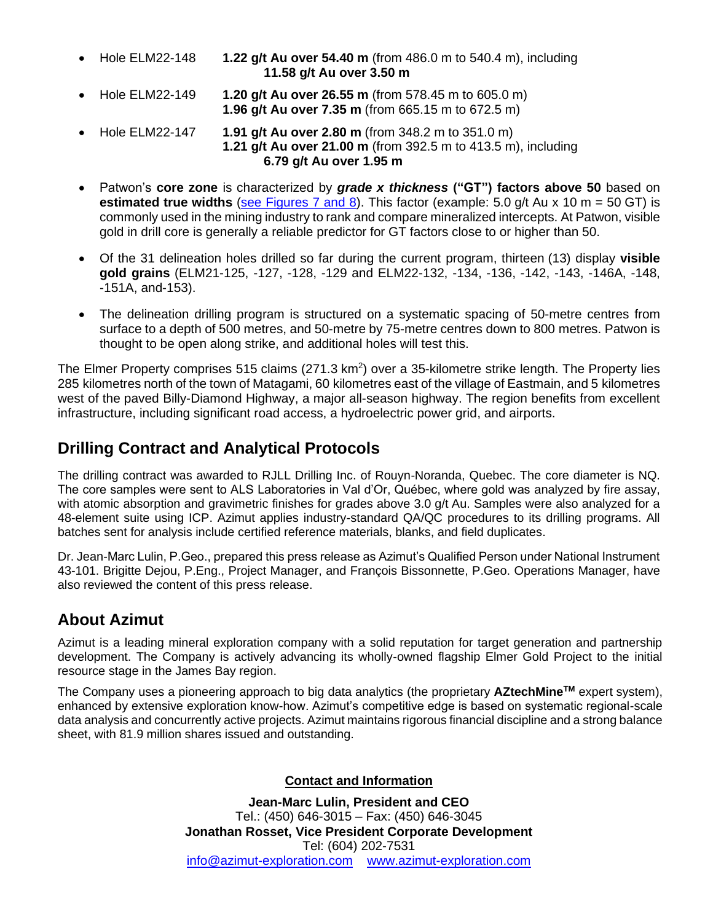- Hole ELM22-148 **1.22 g/t Au over 54.40 m** (from 486.0 m to 540.4 m), including **11.58 g/t Au over 3.50 m**
- Hole ELM22-149 **1.20 g/t Au over 26.55 m** (from 578.45 m to 605.0 m) **1.96 g/t Au over 7.35 m** (from 665.15 m to 672.5 m)
- Hole ELM22-147 **1.91 g/t Au over 2.80 m** (from 348.2 m to 351.0 m) **1.21 g/t Au over 21.00 m** (from 392.5 m to 413.5 m), including **6.79 g/t Au over 1.95 m**
- Patwon's **core zone** is characterized by *grade x thickness* **("GT") factors above 50** based on **estimated true widths** [\(see Figures 7 and 8\)](https://azimut-exploration.com/wp-content/uploads/2022/05/AZM_PR20220530_Fig7-8-p.pdf). This factor (example: 5.0 g/t Au x 10 m = 50 GT) is commonly used in the mining industry to rank and compare mineralized intercepts. At Patwon, visible gold in drill core is generally a reliable predictor for GT factors close to or higher than 50.
- Of the 31 delineation holes drilled so far during the current program, thirteen (13) display **visible gold grains** (ELM21-125, -127, -128, -129 and ELM22-132, -134, -136, -142, -143, -146A, -148, -151A, and-153).
- The delineation drilling program is structured on a systematic spacing of 50-metre centres from surface to a depth of 500 metres, and 50-metre by 75-metre centres down to 800 metres. Patwon is thought to be open along strike, and additional holes will test this.

The Elmer Property comprises 515 claims (271.3 km<sup>2</sup>) over a 35-kilometre strike length. The Property lies 285 kilometres north of the town of Matagami, 60 kilometres east of the village of Eastmain, and 5 kilometres west of the paved Billy-Diamond Highway, a major all-season highway. The region benefits from excellent infrastructure, including significant road access, a hydroelectric power grid, and airports.

### **Drilling Contract and Analytical Protocols**

The drilling contract was awarded to RJLL Drilling Inc. of Rouyn-Noranda, Quebec. The core diameter is NQ. The core samples were sent to ALS Laboratories in Val d'Or, Québec, where gold was analyzed by fire assay, with atomic absorption and gravimetric finishes for grades above 3.0 g/t Au. Samples were also analyzed for a 48-element suite using ICP. Azimut applies industry-standard QA/QC procedures to its drilling programs. All batches sent for analysis include certified reference materials, blanks, and field duplicates.

Dr. Jean-Marc Lulin, P.Geo., prepared this press release as Azimut's Qualified Person under National Instrument 43-101. Brigitte Dejou, P.Eng., Project Manager, and François Bissonnette, P.Geo. Operations Manager, have also reviewed the content of this press release.

#### **About Azimut**

Azimut is a leading mineral exploration company with a solid reputation for target generation and partnership development. The Company is actively advancing its wholly-owned flagship Elmer Gold Project to the initial resource stage in the James Bay region.

The Company uses a pioneering approach to big data analytics (the proprietary **AZtechMineTM** expert system), enhanced by extensive exploration know-how. Azimut's competitive edge is based on systematic regional-scale data analysis and concurrently active projects. Azimut maintains rigorous financial discipline and a strong balance sheet, with 81.9 million shares issued and outstanding.

#### **Contact and Information**

**Jean-Marc Lulin, President and CEO** Tel.: (450) 646-3015 – Fax: (450) 646-3045 **Jonathan Rosset, Vice President Corporate Development** Tel: (604) 202-7531 [info@azimut-exploration.com](mailto:info@azimut-exploration.com) [www.azimut-exploration.com](http://www.azimut-exploration.com/)